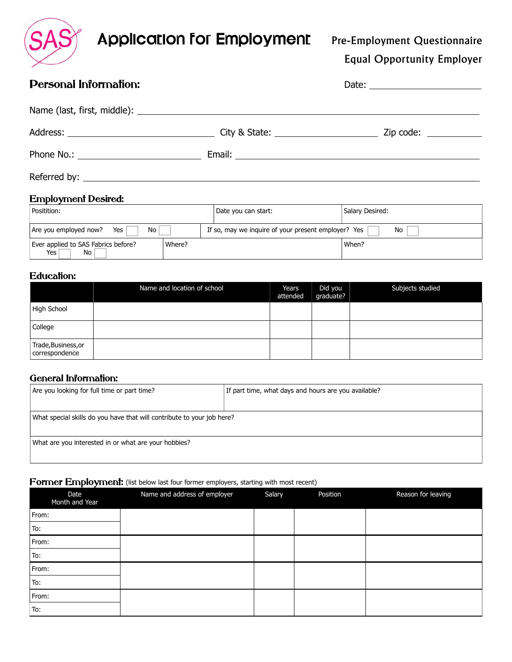

Equal Opportunity Employer

# Personal Information: The contraction of the contraction of the contraction of the contraction of the contraction of the contraction of the contraction of the contraction of the contraction of the contraction of the contra Name (last, first, middle): Address: City & State: Zip code: Phone No.: Email: Referred by:

#### Employment Desired:

| Positition:                                        | Date you can start: | Salary Desired:                                           |  |
|----------------------------------------------------|---------------------|-----------------------------------------------------------|--|
| No<br>Are you employed now?<br>Yes                 |                     | If so, may we inquire of your present employer? Yes<br>No |  |
| Ever applied to SAS Fabrics before?<br>Yes l<br>No | Where?              | When?                                                     |  |

#### Education:

|                                       | Name and location of school | Years<br>attended | Did you<br>graduate? | Subjects studied |
|---------------------------------------|-----------------------------|-------------------|----------------------|------------------|
| High School                           |                             |                   |                      |                  |
| College                               |                             |                   |                      |                  |
| Trade, Business, or<br>correspondence |                             |                   |                      |                  |

#### General Information:

| Are you looking for full time or part time?                            | If part time, what days and hours are you available? |  |  |
|------------------------------------------------------------------------|------------------------------------------------------|--|--|
|                                                                        |                                                      |  |  |
| What special skills do you have that will contribute to your job here? |                                                      |  |  |
|                                                                        |                                                      |  |  |
| What are you interested in or what are your hobbies?                   |                                                      |  |  |
|                                                                        |                                                      |  |  |

#### Former Employment: (list below last four former employers, starting with most recent)

| --<br>Date<br>Month and Year | $\sim$<br>.<br>Name and address of employer | Salary | . .<br>Position | Reason for leaving |
|------------------------------|---------------------------------------------|--------|-----------------|--------------------|
| From:                        |                                             |        |                 |                    |
| To:                          |                                             |        |                 |                    |
| From:                        |                                             |        |                 |                    |
| To:                          |                                             |        |                 |                    |
| From:                        |                                             |        |                 |                    |
| To:                          |                                             |        |                 |                    |
| From:                        |                                             |        |                 |                    |
| To:                          |                                             |        |                 |                    |